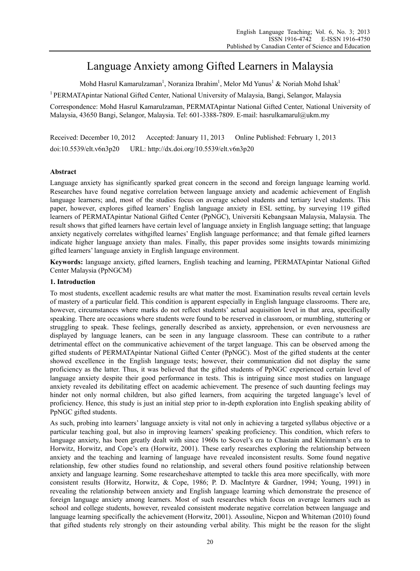# Language Anxiety among Gifted Learners in Malaysia

Mohd Hasrul Kamarulzaman<sup>1</sup>, Noraniza Ibrahim<sup>1</sup>, Melor Md Yunus<sup>1</sup> & Noriah Mohd Ishak<sup>1</sup>

1 PERMATApintar National Gifted Center, National University of Malaysia, Bangi, Selangor, Malaysia

Correspondence: Mohd Hasrul Kamarulzaman, PERMATApintar National Gifted Center, National University of Malaysia, 43650 Bangi, Selangor, Malaysia. Tel: 601-3388-7809. E-mail: hasrulkamarul@ukm.my

Received: December 10, 2012 Accepted: January 11, 2013 Online Published: February 1, 2013 doi:10.5539/elt.v6n3p20 URL: http://dx.doi.org/10.5539/elt.v6n3p20

# **Abstract**

Language anxiety has significantly sparked great concern in the second and foreign language learning world. Researches have found negative correlation between language anxiety and academic achievement of English language learners; and, most of the studies focus on average school students and tertiary level students. This paper, however, explores gifted learners' English language anxiety in ESL setting, by surveying 119 gifted learners of PERMATApintar National Gifted Center (PpNGC), Universiti Kebangsaan Malaysia, Malaysia. The result shows that gifted learners have certain level of language anxiety in English language setting; that language anxiety negatively correlates withgifted learnes' English language performance; and that female gifted learners indicate higher language anxiety than males. Finally, this paper provides some insights towards minimizing gifted learners' language anxiety in English language environment.

**Keywords:** language anxiety, gifted learners, English teaching and learning, PERMATApintar National Gifted Center Malaysia (PpNGCM)

## **1. Introduction**

To most students, excellent academic results are what matter the most. Examination results reveal certain levels of mastery of a particular field. This condition is apparent especially in English language classrooms. There are, however, circumstances where marks do not reflect students' actual acquisition level in that area, specifically speaking. There are occasions where students were found to be reserved in classroom, or mumbling, stuttering or struggling to speak. These feelings, generally described as anxiety, apprehension, or even nervousness are displayed by language leaners, can be seen in any language classroom. These can contribute to a rather detrimental effect on the communicative achievement of the target language. This can be observed among the gifted students of PERMATApintar National Gifted Center (PpNGC). Most of the gifted students at the center showed excellence in the English language tests; however, their communication did not display the same proficiency as the latter. Thus, it was believed that the gifted students of PpNGC experienced certain level of language anxiety despite their good performance in tests. This is intriguing since most studies on language anxiety revealed its debilitating effect on academic achievement. The presence of such daunting feelings may hinder not only normal children, but also gifted learners, from acquiring the targeted language's level of proficiency. Hence, this study is just an initial step prior to in-depth exploration into English speaking ability of PpNGC gifted students.

As such, probing into learners' language anxiety is vital not only in achieving a targeted syllabus objective or a particular teaching goal, but also in improving learners' speaking proficiency. This condition, which refers to language anxiety, has been greatly dealt with since 1960s to Scovel's era to Chastain and Kleinmann's era to Horwitz, Horwitz, and Cope's era (Horwitz, 2001). These early researches exploring the relationship between anxiety and the teaching and learning of language have revealed inconsistent results. Some found negative relationship, few other studies found no relationship, and several others found positive relationship between anxiety and language learning. Some researcheshave attempted to tackle this area more specifically, with more consistent results (Horwitz, Horwitz, & Cope, 1986; P. D. MacIntyre & Gardner, 1994; Young, 1991) in revealing the relationship between anxiety and English language learning which demonstrate the presence of foreign language anxiety among learners. Most of such researches which focus on average learners such as school and college students, however, revealed consistent moderate negative correlation between language and language learning specifically the achievement (Horwitz, 2001). Assouline, Nicpon and Whiteman (2010) found that gifted students rely strongly on their astounding verbal ability. This might be the reason for the slight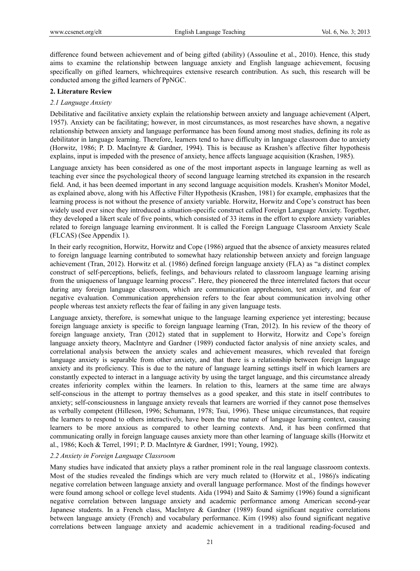difference found between achievement and of being gifted (ability) (Assouline et al., 2010). Hence, this study aims to examine the relationship between language anxiety and English language achievement, focusing specifically on gifted learners, whichrequires extensive research contribution. As such, this research will be conducted among the gifted learners of PpNGC.

#### **2. Literature Review**

#### *2.1 Language Anxiety*

Debilitative and facilitative anxiety explain the relationship between anxiety and language achievement (Alpert, 1957). Anxiety can be facilitating; however, in most circumstances, as most researches have shown, a negative relationship between anxiety and language performance has been found among most studies, defining its role as debilitator in language learning. Therefore, learners tend to have difficulty in language classroom due to anxiety (Horwitz, 1986; P. D. MacIntyre & Gardner, 1994). This is because as Krashen's affective filter hypothesis explains, input is impeded with the presence of anxiety, hence affects language acquisition (Krashen, 1985).

Language anxiety has been considered as one of the most important aspects in language learning as well as teaching ever since the psychological theory of second language learning stretched its expansion in the research field. And, it has been deemed important in any second language acquisition models. Krashen's Monitor Model, as explained above, along with his Affective Filter Hypothesis (Krashen, 1981) for example, emphasizes that the learning process is not without the presence of anxiety variable. Horwitz, Horwitz and Cope's construct has been widely used ever since they introduced a situation-specific construct called Foreign Language Anxiety. Together, they developed a likert scale of five points, which consisted of 33 items in the effort to explore anxiety variables related to foreign language learning environment. It is called the Foreign Language Classroom Anxiety Scale (FLCAS) (See Appendix 1).

In their early recognition, Horwitz, Horwitz and Cope (1986) argued that the absence of anxiety measures related to foreign language learning contributed to somewhat hazy relationship between anxiety and foreign language achievement (Tran, 2012). Horwitz et al. (1986) defined foreign language anxiety (FLA) as "a distinct complex construct of self-perceptions, beliefs, feelings, and behaviours related to classroom language learning arising from the uniqueness of language learning process". Here, they pioneered the three interrelated factors that occur during any foreign language classroom, which are communication apprehension, test anxiety, and fear of negative evaluation. Communication apprehension refers to the fear about communication involving other people whereas test anxiety reflects the fear of failing in any given language tests.

Language anxiety, therefore, is somewhat unique to the language learning experience yet interesting; because foreign language anxiety is specific to foreign language learning (Tran, 2012). In his review of the theory of foreign language anxiety, Tran (2012) stated that in supplement to Horwitz, Horwitz and Cope's foreign language anxiety theory, MacIntyre and Gardner (1989) conducted factor analysis of nine anxiety scales, and correlational analysis between the anxiety scales and achievement measures, which revealed that foreign language anxiety is separable from other anxiety, and that there is a relationship between foreign language anxiety and its proficiency. This is due to the nature of language learning settings itself in which learners are constantly expected to interact in a language activity by using the target language, and this circumstance already creates inferiority complex within the learners. In relation to this, learners at the same time are always self-conscious in the attempt to portray themselves as a good speaker, and this state in itself contributes to anxiety; self-consciousness in language anxiety reveals that learners are worried if they cannot pose themselves as verbally competent (Hilleson, 1996; Schumann, 1978; Tsui, 1996). These unique circumstances, that require the learners to respond to others interactively, have been the true nature of language learning context, causing learners to be more anxious as compared to other learning contexts. And, it has been confirmed that communicating orally in foreign language causes anxiety more than other learning of language skills (Horwitz et al., 1986; Koch & Terrel, 1991; P. D. MacIntyre & Gardner, 1991; Young, 1992).

## *2.2 Anxiety in Foreign Language Classroom*

Many studies have indicated that anxiety plays a rather prominent role in the real language classroom contexts. Most of the studies revealed the findings which are very much related to (Horwitz et al., 1986)'s indicating negative correlation between language anxiety and overall language performance. Most of the findings however were found among school or college level students. Aida (1994) and Saito & Samimy (1996) found a significant negative correlation between language anxiety and academic performance among American second-year Japanese students. In a French class, MacIntyre & Gardner (1989) found significant negative correlations between language anxiety (French) and vocabulary performance. Kim (1998) also found significant negative correlations between language anxiety and academic achievement in a traditional reading-focused and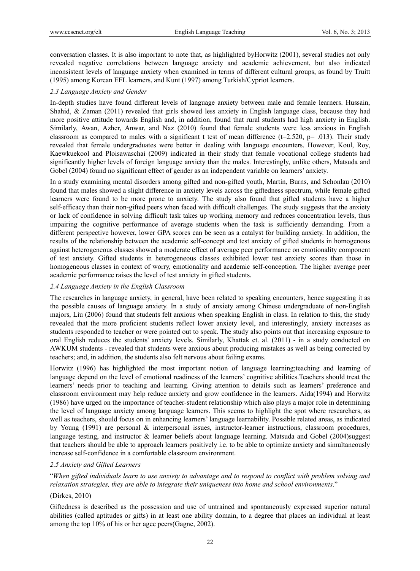conversation classes. It is also important to note that, as highlighted byHorwitz (2001), several studies not only revealed negative correlations between language anxiety and academic achievement, but also indicated inconsistent levels of language anxiety when examined in terms of different cultural groups, as found by Truitt (1995) among Korean EFL learners, and Kunt (1997) among Turkish/Cypriot learners.

#### *2.3 Language Anxiety and Gender*

In-depth studies have found different levels of language anxiety between male and female learners. Hussain, Shahid, & Zaman (2011) revealed that girls showed less anxiety in English language class, because they had more positive attitude towards English and, in addition, found that rural students had high anxiety in English. Similarly, Awan, Azher, Anwar, and Naz (2010) found that female students were less anxious in English classroom as compared to males with a significant t test of mean difference ( $t=2.520$ ,  $p=$  .013). Their study revealed that female undergraduates were better in dealing with language encounters. However, Koul, Roy, Kaewkuekool and Ploisawaschai (2009) indicated in their study that female vocational college students had significantly higher levels of foreign language anxiety than the males. Interestingly, unlike others, Matsuda and Gobel (2004) found no significant effect of gender as an independent variable on learners' anxiety.

In a study examining mental disorders among gifted and non-gifted youth, Martin, Burns, and Schonlau (2010) found that males showed a slight difference in anxiety levels across the giftedness spectrum, while female gifted learners were found to be more prone to anxiety. The study also found that gifted students have a higher self-efficacy than their non-gifted peers when faced with difficult challenges. The study suggests that the anxiety or lack of confidence in solving difficult task takes up working memory and reduces concentration levels, thus impairing the cognitive performance of average students when the task is sufficiently demanding. From a different perspective however, lower GPA scores can be seen as a catalyst for building anxiety. In addition, the results of the relationship between the academic self-concept and test anxiety of gifted students in homogenous against heterogeneous classes showed a moderate effect of average peer performance on emotionality component of test anxiety. Gifted students in heterogeneous classes exhibited lower test anxiety scores than those in homogeneous classes in context of worry, emotionality and academic self-conception. The higher average peer academic performance raises the level of test anxiety in gifted students.

## *2.4 Language Anxiety in the English Classroom*

The researches in language anxiety, in general, have been related to speaking encounters, hence suggesting it as the possible causes of language anxiety. In a study of anxiety among Chinese undergraduate of non-English majors, Liu (2006) found that students felt anxious when speaking English in class. In relation to this, the study revealed that the more proficient students reflect lower anxiety level, and interestingly, anxiety increases as students responded to teacher or were pointed out to speak. The study also points out that increasing exposure to oral English reduces the students' anxiety levels. Similarly, Khattak et. al. (2011) - in a study conducted on AWKUM students - revealed that students were anxious about producing mistakes as well as being corrected by teachers; and, in addition, the students also felt nervous about failing exams.

Horwitz (1996) has highlighted the most important notion of language learning;teaching and learning of language depend on the level of emotional readiness of the learners' cognitive abilities.Teachers should treat the learners' needs prior to teaching and learning. Giving attention to details such as learners' preference and classroom environment may help reduce anxiety and grow confidence in the learners. Aida(1994) and Horwitz (1986) have urged on the importance of teacher-student relationship which also plays a major role in determining the level of language anxiety among language learners. This seems to highlight the spot where researchers, as well as teachers, should focus on in enhancing learners' language learnability. Possible related areas, as indicated by Young (1991) are personal & interpersonal issues, instructor-learner instructions, classroom procedures, language testing, and instructor & learner beliefs about language learning. Matsuda and Gobel (2004)suggest that teachers should be able to approach learners positively i.e. to be able to optimize anxiety and simultaneously increase self-confidence in a comfortable classroom environment.

## *2.5 Anxiety and Gifted Learners*

"*When gifted individuals learn to use anxiety to advantage and to respond to conflict with problem solving and relaxation strategies, they are able to integrate their uniqueness into home and school environments*."

(Dirkes, 2010)

Giftedness is described as the possession and use of untrained and spontaneously expressed superior natural abilities (called aptitudes or gifts) in at least one ability domain, to a degree that places an individual at least among the top 10% of his or her agee peers(Gagne, 2002).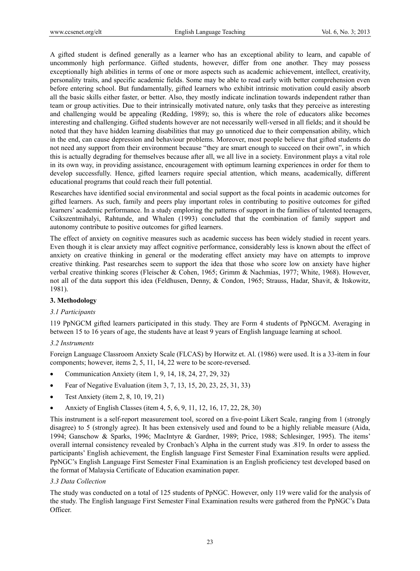A gifted student is defined generally as a learner who has an exceptional ability to learn, and capable of uncommonly high performance. Gifted students, however, differ from one another. They may possess exceptionally high abilities in terms of one or more aspects such as academic achievement, intellect, creativity, personality traits, and specific academic fields. Some may be able to read early with better comprehension even before entering school. But fundamentally, gifted learners who exhibit intrinsic motivation could easily absorb all the basic skills either faster, or better. Also, they mostly indicate inclination towards independent rather than team or group activities. Due to their intrinsically motivated nature, only tasks that they perceive as interesting and challenging would be appealing (Redding, 1989); so, this is where the role of educators alike becomes interesting and challenging. Gifted students however are not necessarily well-versed in all fields; and it should be noted that they have hidden learning disabilities that may go unnoticed due to their compensation ability, which in the end, can cause depression and behaviour problems. Moreover, most people believe that gifted students do not need any support from their environment because "they are smart enough to succeed on their own", in which this is actually degrading for themselves because after all, we all live in a society. Environment plays a vital role in its own way, in providing assistance, encouragement with optimum learning experiences in order for them to develop successfully. Hence, gifted learners require special attention, which means, academically, different educational programs that could reach their full potential.

Researches have identified social environmental and social support as the focal points in academic outcomes for gifted learners. As such, family and peers play important roles in contributing to positive outcomes for gifted learners' academic performance. In a study emploring the patterns of support in the families of talented teenagers, Csikszentmihalyi, Rahtunde, and Whalen (1993) concluded that the combination of family support and autonomy contribute to positive outcomes for gifted learners.

The effect of anxiety on cognitive measures such as academic success has been widely studied in recent years. Even though it is clear anxiety may affect cognitive performance, considerably less is known about the effect of anxiety on creative thinking in general or the moderating effect anxiety may have on attempts to improve creative thinking. Past researches seem to support the idea that those who score low on anxiety have higher verbal creative thinking scores (Fleischer & Cohen, 1965; Grimm & Nachmias, 1977; White, 1968). However, not all of the data support this idea (Feldhusen, Denny, & Condon, 1965; Strauss, Hadar, Shavit, & Itskowitz, 1981).

## **3. Methodology**

## *3.1 Participants*

119 PpNGCM gifted learners participated in this study. They are Form 4 students of PpNGCM. Averaging in between 15 to 16 years of age, the students have at least 9 years of English language learning at school.

## *3.2 Instruments*

Foreign Language Classroom Anxiety Scale (FLCAS) by Horwitz et. Al. (1986) were used. It is a 33-item in four components; however, items 2, 5, 11, 14, 22 were to be score-reversed.

- Communication Anxiety (item  $1, 9, 14, 18, 24, 27, 29, 32$ )
- Fear of Negative Evaluation (item 3, 7, 13, 15, 20, 23, 25, 31, 33)
- $\bullet$  Test Anxiety (item 2, 8, 10, 19, 21)
- Anxiety of English Classes (item  $4, 5, 6, 9, 11, 12, 16, 17, 22, 28, 30$ )

This instrument is a self-report measurement tool, scored on a five-point Likert Scale, ranging from 1 (strongly disagree) to 5 (strongly agree). It has been extensively used and found to be a highly reliable measure (Aida, 1994; Ganschow & Sparks, 1996; MacIntyre & Gardner, 1989; Price, 1988; Schlesinger, 1995). The items' overall internal consistency revealed by Cronbach's Alpha in the current study was .819. In order to assess the participants' English achievement, the English language First Semester Final Examination results were applied. PpNGC's English Language First Semester Final Examination is an English proficiency test developed based on the format of Malaysia Certificate of Education examination paper.

## *3.3 Data Collection*

The study was conducted on a total of 125 students of PpNGC. However, only 119 were valid for the analysis of the study. The English language First Semester Final Examination results were gathered from the PpNGC's Data Officer.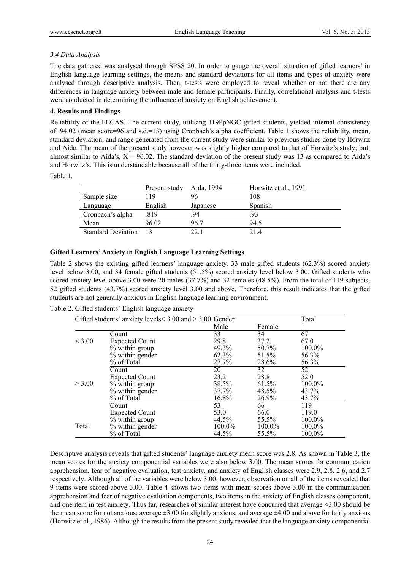## *3.4 Data Analysis*

The data gathered was analysed through SPSS 20. In order to gauge the overall situation of gifted learners' in English language learning settings, the means and standard deviations for all items and types of anxiety were analysed through descriptive analysis. Then, t-tests were employed to reveal whether or not there are any differences in language anxiety between male and female participants. Finally, correlational analysis and t-tests were conducted in determining the influence of anxiety on English achievement.

# **4. Results and Findings**

Reliability of the FLCAS. The current study, utilising 119PpNGC gifted students, yielded internal consistency of .94.02 (mean score=96 and s.d.=13) using Cronbach's alpha coefficient. Table 1 shows the reliability, mean, standard deviation, and range generated from the current study were similar to previous studies done by Horwitz and Aida. The mean of the present study however was slightly higher compared to that of Horwitz's study; but, almost similar to Aida's,  $X = 96.02$ . The standard deviation of the present study was 13 as compared to Aida's and Horwitz's. This is understandable because all of the thirty-three items were included.

Table 1.

|                           | Present study | Aida, 1994 | Horwitz et al., 1991 |
|---------------------------|---------------|------------|----------------------|
| Sample size               | 119           | 96         | 108                  |
| Language                  | English       | Japanese   | Spanish              |
| Cronbach's alpha          | .819          | .94        | .93                  |
| Mean                      | 96.02         | 96.7       | 94.5                 |
| <b>Standard Deviation</b> |               | 22.1       | 214                  |

#### **Gifted Learners' Anxiety in English Language Learning Settings**

Table 2 shows the existing gifted learners' language anxiety. 33 male gifted students (62.3%) scored anxiety level below 3.00, and 34 female gifted students (51.5%) scored anxiety level below 3.00. Gifted students who scored anxiety level above 3.00 were 20 males (37.7%) and 32 females (48.5%). From the total of 119 subjects, 52 gifted students (43.7%) scored anxiety level 3.00 and above. Therefore, this result indicates that the gifted students are not generally anxious in English language learning environment.

|  | Table 2. Gifted students' English language anxiety |  |  |
|--|----------------------------------------------------|--|--|
|  |                                                    |  |  |

|        | Gifted students' anxiety levels $\leq 3.00$ and $> 3.00$ Gender |        |          | Total  |
|--------|-----------------------------------------------------------------|--------|----------|--------|
|        |                                                                 | Male   | Female   |        |
|        | Count                                                           | 33     | 34       | 67     |
| < 3.00 | <b>Expected Count</b>                                           | 29.8   | 37.2     | 67.0   |
|        | % within group                                                  | 49.3%  | 50.7%    | 100.0% |
|        | % within gender                                                 | 62.3%  | 51.5%    | 56.3%  |
|        | % of Total                                                      | 27.7%  | 28.6%    | 56.3%  |
|        | Count                                                           | 20     | 32       | 52     |
|        | <b>Expected Count</b>                                           | 23.2   | 28.8     | 52.0   |
| > 3.00 | % within group                                                  | 38.5%  | $61.5\%$ | 100.0% |
|        | % within gender                                                 | 37.7%  | 48.5%    | 43.7%  |
|        | % of Total                                                      | 16.8%  | 26.9%    | 43.7%  |
|        | Count                                                           | 53     | 66       | 119    |
|        | <b>Expected Count</b>                                           | 53.0   | 66.0     | 119.0  |
|        | % within group                                                  | 44.5%  | 55.5%    | 100.0% |
| Total  | % within gender                                                 | 100.0% | 100.0%   | 100.0% |
|        | % of Total                                                      | 44.5%  | 55.5%    | 100.0% |

Descriptive analysis reveals that gifted students' language anxiety mean score was 2.8. As shown in Table 3, the mean scores for the anxiety componential variables were also below 3.00. The mean scores for communication apprehension, fear of negative evaluation, test anxiety, and anxiety of English classes were 2.9, 2.8, 2.6, and 2.7 respectively. Although all of the variables were below 3.00; however, observation on all of the items revealed that 9 items were scored above 3.00. Table 4 shows two items with mean scores above 3.00 in the communication apprehension and fear of negative evaluation components, two items in the anxiety of English classes component, and one item in test anxiety. Thus far, researches of similar interest have concurred that average <3.00 should be the mean score for not anxious; average ±3.00 for slightly anxious; and average ±4.00 and above for fairly anxious (Horwitz et al., 1986). Although the results from the present study revealed that the language anxiety componential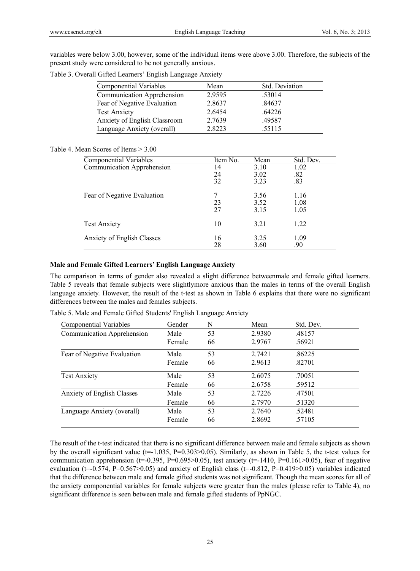variables were below 3.00, however, some of the individual items were above 3.00. Therefore, the subjects of the present study were considered to be not generally anxious.

Table 3. Overall Gifted Learners' English Language Anxiety

| <b>Componential Variables</b>       | Mean   | Std. Deviation |
|-------------------------------------|--------|----------------|
| Communication Apprehension          | 2.9595 | .53014         |
| Fear of Negative Evaluation         | 2.8637 | .84637         |
| <b>Test Anxiety</b>                 | 2.6454 | .64226         |
| <b>Anxiety of English Classroom</b> | 2.7639 | .49587         |
| Language Anxiety (overall)          | 2.8223 | .55115         |

## Table 4. Mean Scores of Items > 3.00

| Componential Variables      | Item No.       | Mean                 | Std. Dev.            |
|-----------------------------|----------------|----------------------|----------------------|
| Communication Apprehension  | 14<br>24<br>32 | 3.10<br>3.02<br>3.23 | 1.02<br>.82<br>.83   |
| Fear of Negative Evaluation | 23<br>27       | 3.56<br>3.52<br>3.15 | 1.16<br>1.08<br>1.05 |
| <b>Test Anxiety</b>         | 10             | 3.21                 | 1.22                 |
| Anxiety of English Classes  | 16<br>28       | 3.25<br>3.60         | 1.09<br>.90          |

## **Male and Female Gifted Learners' English Language Anxiety**

The comparison in terms of gender also revealed a slight difference betweenmale and female gifted learners. Table 5 reveals that female subjects were slightlymore anxious than the males in terms of the overall English language anxiety. However, the result of the t-test as shown in Table 6 explains that there were no significant differences between the males and females subjects.

Table 5. Male and Female Gifted Students' English Language Anxiety

| <b>Componential Variables</b> | Gender | N  | Mean   | Std. Dev. |  |
|-------------------------------|--------|----|--------|-----------|--|
| Communication Apprehension    | Male   | 53 | 2.9380 | .48157    |  |
|                               | Female | 66 | 2.9767 | .56921    |  |
| Fear of Negative Evaluation   | Male   | 53 | 2.7421 | .86225    |  |
|                               | Female | 66 | 2.9613 | .82701    |  |
| <b>Test Anxiety</b>           | Male   | 53 | 2.6075 | .70051    |  |
|                               | Female | 66 | 2.6758 | .59512    |  |
| Anxiety of English Classes    | Male   | 53 | 2.7226 | .47501    |  |
|                               | Female | 66 | 2.7970 | .51320    |  |
| Language Anxiety (overall)    | Male   | 53 | 2.7640 | .52481    |  |
|                               | Female | 66 | 2.8692 | .57105    |  |
|                               |        |    |        |           |  |

The result of the t-test indicated that there is no significant difference between male and female subjects as shown by the overall significant value  $(t=-1.035, P=0.303>0.05)$ . Similarly, as shown in Table 5, the t-test values for communication apprehension ( $t=-0.395$ , P=0.695>0.05), test anxiety ( $t=-1410$ , P=0.161>0.05), fear of negative evaluation ( $t=-0.574$ ,  $P=0.567>0.05$ ) and anxiety of English class ( $t=-0.812$ ,  $P=0.419>0.05$ ) variables indicated that the difference between male and female gifted students was not significant. Though the mean scores for all of the anxiety componential variables for female subjects were greater than the males (please refer to Table 4), no significant difference is seen between male and female gifted students of PpNGC.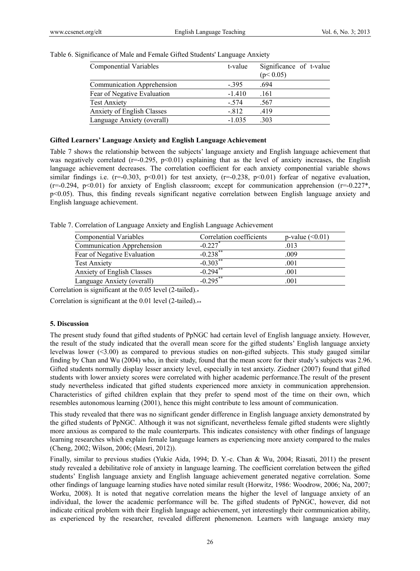| <b>Componential Variables</b> | t-value  | Significance of t-value<br>(p < 0.05) |
|-------------------------------|----------|---------------------------------------|
| Communication Apprehension    | $-395$   | .694                                  |
| Fear of Negative Evaluation   | $-1.410$ | .161                                  |
| <b>Test Anxiety</b>           | $-574$   | .567                                  |
| Anxiety of English Classes    | $-812$   | .419                                  |
| Language Anxiety (overall)    | $-1.035$ | .303                                  |

Table 6. Significance of Male and Female Gifted Students' Language Anxiety

#### **Gifted Learners' Language Anxiety and English Language Achievement**

Table 7 shows the relationship between the subjects' language anxiety and English language achievement that was negatively correlated ( $r=-0.295$ ,  $p<0.01$ ) explaining that as the level of anxiety increases, the English language achievement decreases. The correlation coefficient for each anxiety componential variable shows similar findings i.e.  $(r=-0.303, p<0.01)$  for test anxiety,  $(r=-0.238, p<0.01)$  forfear of negative evaluation,  $(r=0.294, p<0.01)$  for anxiety of English classroom; except for communication apprehension  $(r=0.227^*)$ , p<0.05). Thus, this finding reveals significant negative correlation between English language anxiety and English language achievement.

Table 7. Correlation of Language Anxiety and English Language Achievement

| <b>Componential Variables</b> | Correlation coefficients | p-value $(\leq 0.01)$ |
|-------------------------------|--------------------------|-----------------------|
| Communication Apprehension    | $-0.227$ <sup>*</sup>    | .013                  |
| Fear of Negative Evaluation   | $-0.238$ **              | .009                  |
| <b>Test Anxiety</b>           | $-0.303$ **              | .001                  |
| Anxiety of English Classes    | $-0.294$ **              | .001                  |
| Language Anxiety (overall)    | $-0.295***$              | .001                  |

Correlation is significant at the 0.05 level (2-tailed).\*

Correlation is significant at the 0.01 level (2-tailed).\*\*

## **5. Discussion**

The present study found that gifted students of PpNGC had certain level of English language anxiety. However, the result of the study indicated that the overall mean score for the gifted students' English language anxiety levelwas lower (<3.00) as compared to previous studies on non-gifted subjects. This study gauged similar finding by Chan and Wu (2004) who, in their study, found that the mean score for their study's subjects was 2.96. Gifted students normally display lesser anxiety level, especially in test anxiety. Ziedner (2007) found that gifted students with lower anxiety scores were correlated with higher academic performance.The result of the present study nevertheless indicated that gifted students experienced more anxiety in communication apprehension. Characteristics of gifted children explain that they prefer to spend most of the time on their own, which resembles autonomous learning (2001), hence this might contribute to less amount of communication.

This study revealed that there was no significant gender difference in English language anxiety demonstrated by the gifted students of PpNGC. Although it was not significant, nevertheless female gifted students were slightly more anxious as compared to the male counterparts. This indicates consistency with other findings of language learning researches which explain female language learners as experiencing more anxiety compared to the males (Cheng, 2002; Wilson, 2006; (Mesri, 2012)).

Finally, similar to previous studies (Yukie Aida, 1994; D. Y.-c. Chan & Wu, 2004; Riasati, 2011) the present study revealed a debilitative role of anxiety in language learning. The coefficient correlation between the gifted students' English language anxiety and English language achievement generated negative correlation. Some other findings of language learning studies have noted similar result (Horwitz, 1986: Woodrow, 2006; Na, 2007; Worku, 2008). It is noted that negative correlation means the higher the level of language anxiety of an individual, the lower the academic performance will be. The gifted students of PpNGC, however, did not indicate critical problem with their English language achievement, yet interestingly their communication ability, as experienced by the researcher, revealed different phenomenon. Learners with language anxiety may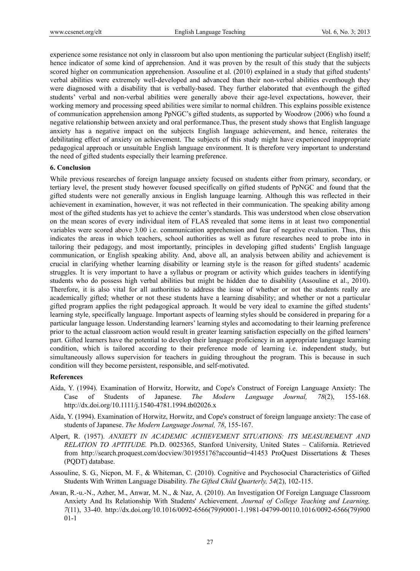experience some resistance not only in classroom but also upon mentioning the particular subject (English) itself; hence indicator of some kind of apprehension. And it was proven by the result of this study that the subjects scored higher on communication apprehension. Assouline et al. (2010) explained in a study that gifted students' verbal abilities were extremely well-developed and advanced than their non-verbal abilities eventhough they were diagnosed with a disability that is verbally-based. They further elaborated that eventhough the gifted students' verbal and non-verbal abilities were generally above their age-level expectations, however, their working memory and processing speed abilities were similar to normal children. This explains possible existence of communication apprehension among PpNGC's gifted students, as supported by Woodrow (2006) who found a negative relationship between anxiety and oral performance.Thus, the present study shows that English language anxiety has a negative impact on the subjects English language achievement, and hence, reiterates the debilitating effect of anxiety on achievement. The subjects of this study might have experienced inappropriate pedagogical approach or unsuitable English language environment. It is therefore very important to understand the need of gifted students especially their learning preference.

# **6. Conclusion**

While previous researches of foreign language anxiety focused on students either from primary, secondary, or tertiary level, the present study however focused specifically on gifted students of PpNGC and found that the gifted students were not generally anxious in English language learning. Although this was reflected in their achievement in examination, however, it was not reflected in their communication. The speaking ability among most of the gifted students has yet to achieve the center's standards. This was understood when close observation on the mean scores of every individual item of FLAS revealed that some items in at least two componential variables were scored above 3.00 i.e. communication apprehension and fear of negative evaluation. Thus, this indicates the areas in which teachers, school authorities as well as future researches need to probe into in tailoring their pedagogy, and most importantly, principles in developing gifted students' English language communication, or English speaking ability. And, above all, an analysis between ability and achievement is crucial in clarifying whether learning disability or learning style is the reason for gifted students' academic struggles. It is very important to have a syllabus or program or activity which guides teachers in identifying students who do possess high verbal abilities but might be hidden due to disability (Assouline et al., 2010). Therefore, it is also vital for all authorities to address the issue of whether or not the students really are academically gifted; whether or not these students have a learning disability; and whether or not a particular gifted program applies the right pedagogical approach. It would be very ideal to examine the gifted students' learning style, specifically language. Important aspects of learning styles should be considered in preparing for a particular language lesson. Understanding learners' learning styles and accomodating to their learning preference prior to the actual classroom action would result in greater learning satisfaction especially on the gifted learners' part. Gifted learners have the potential to develop their language proficiency in an appropriate language learning condition, which is tailored according to their preference mode of learning i.e. independent study, but simultaneously allows supervision for teachers in guiding throughout the program. This is because in such condition will they become persistent, responsible, and self-motivated.

#### **References**

- Aida, Y. (1994). Examination of Horwitz, Horwitz, and Cope's Construct of Foreign Language Anxiety: The Case of Students of Japanese. *The Modern Language Journal, 78*(2), 155-168. http://dx.doi.org/10.1111/j.1540-4781.1994.tb02026.x
- Aida, Y. (1994). Examination of Horwitz, Horwitz, and Cope's construct of foreign language anxiety: The case of students of Japanese. *The Modern Language Journal, 78*, 155-167.
- Alpert, R. (1957). *ANXIETY IN ACADEMIC ACHIEVEMENT SITUATIONS: ITS MEASUREMENT AND RELATION TO APTITUDE.* Ph.D. 0025365, Stanford University, United States – California. Retrieved from http://search.proquest.com/docview/301955176?accountid=41453 ProQuest Dissertations & Theses (PQDT) database.
- Assouline, S. G., Nicpon, M. F., & Whiteman, C. (2010). Cognitive and Psychosocial Characteristics of Gifted Students With Written Language Disability. *The Gifted Child Quarterly, 54*(2), 102-115.
- Awan, R.-u.-N., Azher, M., Anwar, M. N., & Naz, A. (2010). An Investigation Of Foreign Language Classroom Anxiety And Its Relationship With Students' Achievement. *Journal of College Teaching and Learning, 7*(11), 33-40. http://dx.doi.org/10.1016/0092-6566(79)90001-1.1981-04799-00110.1016/0092-6566(79)900 01-1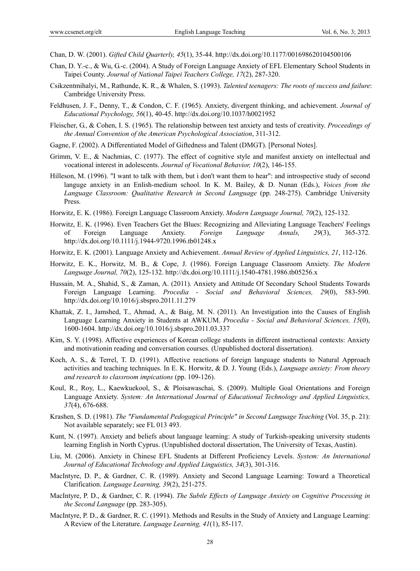Chan, D. W. (2001). *Gifted Child Quarterly, 45*(1), 35-44. http://dx.doi.org/10.1177/001698620104500106

- Chan, D. Y.-c., & Wu, G.-c. (2004). A Study of Foreign Language Anxiety of EFL Elementary School Students in Taipei County. *Journal of National Taipei Teachers College, 17*(2), 287-320.
- Csikzentmihalyi, M., Rathunde, K. R., & Whalen, S. (1993). *Talented teenagers: The roots of success and failure*: Cambridge University Press.
- Feldhusen, J. F., Denny, T., & Condon, C. F. (1965). Anxiety, divergent thinking, and achievement. *Journal of Educational Psychology, 56*(1), 40-45. http://dx.doi.org/10.1037/h0021952
- Fleischer, G., & Cohen, I. S. (1965). The relationship between test anxiety and tests of creativity. *Proceedings of the Annual Convention of the American Psychological Association*, 311-312.
- Gagne, F. (2002). A Differentiated Model of Giftedness and Talent (DMGT). [Personal Notes].
- Grimm, V. E., & Nachmias, C. (1977). The effect of cognitive style and manifest anxiety on intellectual and vocational interest in adolescents. *Journal of Vocational Behavior, 10*(2), 146-155.
- Hilleson, M. (1996). "I want to talk with them, but i don't want them to hear": and introspective study of second languge anxiety in an Enlish-medium school. In K. M. Bailey, & D. Nunan (Eds.), *Voices from the Language Classroom: Qualitative Research in Second Language* (pp. 248-275). Cambridge University Press.
- Horwitz, E. K. (1986). Foreign Language Classroom Anxiety. *Modern Language Journal, 70*(2), 125-132.
- Horwitz, E. K. (1996). Even Teachers Get the Blues: Recognizing and Alleviating Language Teachers' Feelings of Foreign Language Anxiety. *Foreign Language Annals, 29*(3), 365-372. http://dx.doi.org/10.1111/j.1944-9720.1996.tb01248.x
- Horwitz, E. K. (2001). Language Anxiety and Achievement. *Annual Review of Applied Linguistics, 21*, 112-126.
- Horwitz, E. K., Horwitz, M. B., & Cope, J. (1986). Foreign Language Classroom Anxiety. *The Modern Language Journal, 70*(2), 125-132. http://dx.doi.org/10.1111/j.1540-4781.1986.tb05256.x
- Hussain, M. A., Shahid, S., & Zaman, A. (2011). Anxiety and Attitude Of Secondary School Students Towards Foreign Language Learning. *Procedia - Social and Behavioral Sciences, 29*(0), 583-590. http://dx.doi.org/10.1016/j.sbspro.2011.11.279
- Khattak, Z. I., Jamshed, T., Ahmad, A., & Baig, M. N. (2011). An Investigation into the Causes of English Language Learning Anxiety in Students at AWKUM. *Procedia - Social and Behavioral Sciences, 15*(0), 1600-1604. http://dx.doi.org/10.1016/j.sbspro.2011.03.337
- Kim, S. Y. (1998). Affective experiences of Korean college students in different instructional contexts: Anxiety and motivationin reading and conversation courses. (Unpublished doctoral dissertation).
- Koch, A. S., & Terrel, T. D. (1991). Affective reactions of foreign language students to Natural Approach activities and teaching techniques. In E. K. Horwitz, & D. J. Young (Eds.), *Language anxiety: From theory and research to classroom impications* (pp. 109-126).
- Koul, R., Roy, L., Kaewkuekool, S., & Ploisawaschai, S. (2009). Multiple Goal Orientations and Foreign Language Anxiety. *System: An International Journal of Educational Technology and Applied Linguistics, 37*(4), 676-688.
- Krashen, S. D. (1981). *The "Fundamental Pedogagical Principle" in Second Language Teaching* (Vol. 35, p. 21): Not available separately; see FL 013 493.
- Kunt, N. (1997). Anxiety and beliefs about language learning: A study of Turkish-speaking university students learning English in North Cyprus. (Unpublished doctoral dissertation, The University of Texas, Austin).
- Liu, M. (2006). Anxiety in Chinese EFL Students at Different Proficiency Levels. *System: An International Journal of Educational Technology and Applied Linguistics, 34*(3), 301-316.
- MacIntyre, D. P., & Gardner, C. R. (1989). Anxiety and Second Language Learning: Toward a Theoretical Clarification. *Language Learning, 39*(2), 251-275.
- MacIntyre, P. D., & Gardner, C. R. (1994). *The Subtle Effects of Language Anxiety on Cognitive Processing in the Second Language* (pp. 283-305).
- MacIntyre, P. D., & Gardner, R. C. (1991). Methods and Results in the Study of Anxiety and Language Learning: A Review of the Literature. *Language Learning, 41*(1), 85-117.